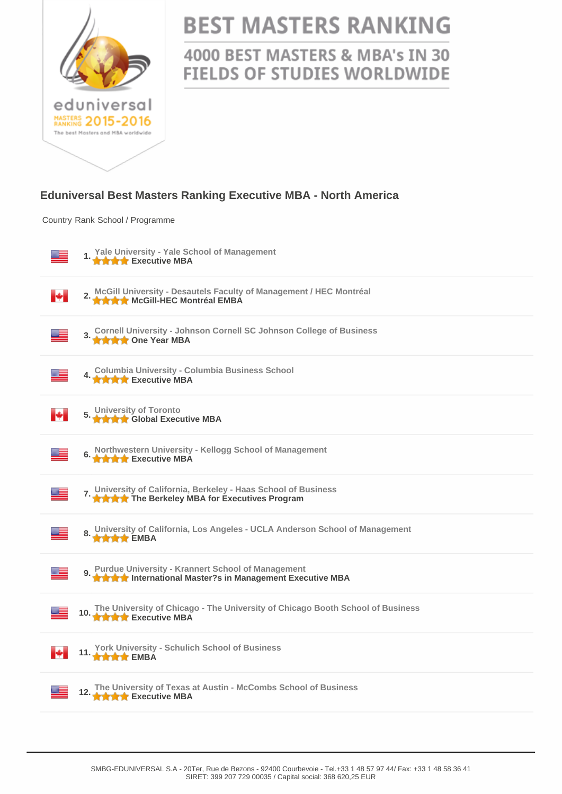

## **BEST MASTERS RANKING**

4000 BEST MASTERS & MBA's IN 30 **FIELDS OF STUDIES WORLDWIDE** 

## **Eduniversal Best Masters Ranking Executive MBA - North America**

Country Rank School / Programme

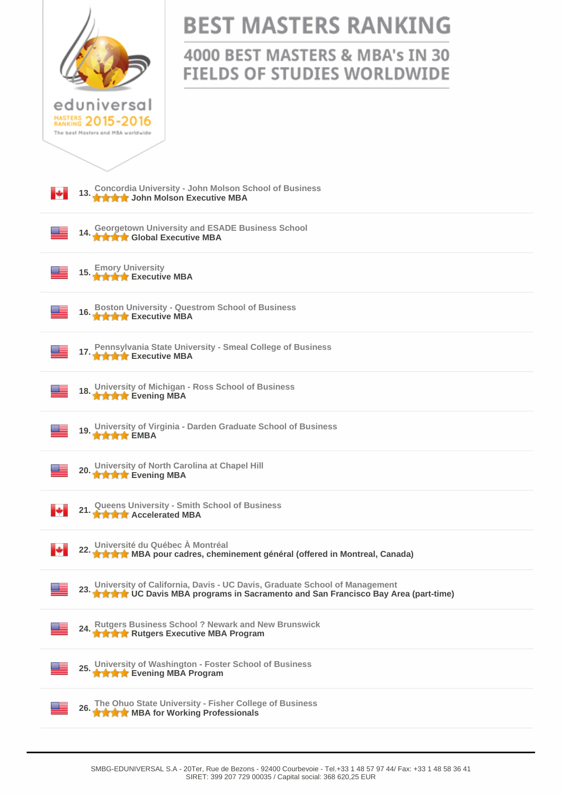| eduniversal<br>NASTERS 2015-2016<br>The best Masters and<br>MRA worldwide |
|---------------------------------------------------------------------------|
|                                                                           |
| 13. Concordia Univer<br>Н                                                 |

## **BEST MASTERS RANKING**

## 4000 BEST MASTERS & MBA's IN 30 **FIELDS OF STUDIES WORLDWIDE**

| 13. Concordia University - John Molson School of Business<br>13. A A A John Molson Executive MBA<br>м                                                                   |
|-------------------------------------------------------------------------------------------------------------------------------------------------------------------------|
| <b>Georgetown University and ESADE Business School</b><br>14. Secretary Global Executive MBA                                                                            |
| 15. Emory University<br>15. The Executive MBA                                                                                                                           |
| 16. Boston University - Questrom School of Business<br>16. A A A Executive MBA                                                                                          |
| 17. Pennsylvania State University - Smeal College of Business<br>17. A A A Executive MBA                                                                                |
| University of Michigan - Ross School of Business<br>18. However, Committee of the Evening MBA                                                                           |
| 19. University of Virginia - Darden Graduate School of Business<br>19. A A EMBA                                                                                         |
| University of North Carolina at Chapel Hill<br>20.<br><b>★★★★</b> Evening MBA                                                                                           |
| 21. Queens University - Smith School of Business<br>21. A A A Accelerated MBA<br>ю                                                                                      |
| Université du Québec À Montréal<br>22. Université du Quebec A montrou.<br>22. Le La MBA pour cadres, cheminement général (offered in Montreal, Canada)                  |
| University of California, Davis - UC Davis, Graduate School of Management<br><del>★★★★</del> UC Davis MBA programs in Sacramento and San Francisco Bay Area (part-time) |
| 24. Rutgers Business School ? Newark and New Brunswick<br><b>THE RUIDERS Executive MBA Program</b>                                                                      |
| University of Washington - Foster School of Business<br>★★★★ Evening MBA Program                                                                                        |
|                                                                                                                                                                         |
| The Ohuo State University - Fisher College of Business<br>26.<br>★★★★ MBA for Working Professionals                                                                     |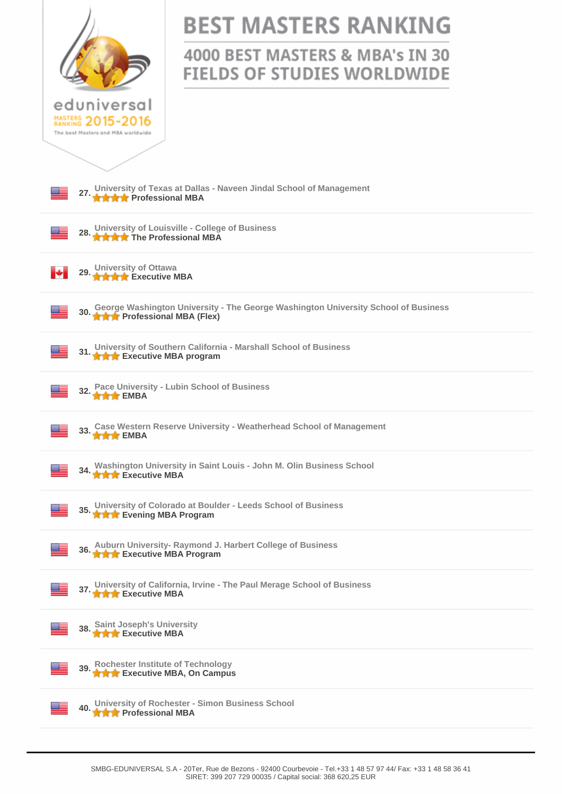| eduniversal<br>MASTERS 2015-2016<br>The best Masters and MBA worldwide                                                     | <b>BEST MASTERS RANKING</b><br>4000 BEST MASTERS & MBA's IN 30<br><b>FIELDS OF STUDIES WORLDWIDE</b> |  |
|----------------------------------------------------------------------------------------------------------------------------|------------------------------------------------------------------------------------------------------|--|
|                                                                                                                            | 27. University of Texas at Dallas - Naveen Jindal School of Management                               |  |
| 28.<br><b>The Professional MBA</b>                                                                                         | University of Louisville - College of Business                                                       |  |
| University of Ottawa<br>A A A Executive MBA<br>29.                                                                         |                                                                                                      |  |
| George Washington University - The George Washington University School of Business<br>30. Sevi ye Francessional MBA (Flex) |                                                                                                      |  |
| University of Southern California - Marshall School of Business<br>31. <b>A A Executive MBA</b> program                    |                                                                                                      |  |
| Pace University - Lubin School of Business<br>$\bullet \bullet \bullet$ EMBA                                               |                                                                                                      |  |
| Case Western Reserve University - Weatherhead School of Management<br><b>t t t</b> EMBA                                    |                                                                                                      |  |
| Washington University in Saint Louis - John M. Olin Business School<br>34.<br><b>THE EXecutive MBA</b>                     |                                                                                                      |  |
| 35. University of Colorado at Boulder - Leeds School of Business<br>A Levening MBA Program                                 |                                                                                                      |  |
| 36. Auburn University- Raymond J. Harbert College of Business<br><b>THE EXECUTIVE MBA Program</b>                          |                                                                                                      |  |
|                                                                                                                            | 37. University of California, Irvine - The Paul Merage School of Business<br>37. A A Executive MBA   |  |
| <b>Saint Joseph's University</b><br><b>THE Executive MBA</b>                                                               |                                                                                                      |  |
| 39. Rochester Institute of Technology<br>39. <b>The Executive MBA, On Campus</b>                                           |                                                                                                      |  |
| University of Rochester - Simon Business School<br>40.<br><b>THE Professional MBA</b>                                      |                                                                                                      |  |
|                                                                                                                            |                                                                                                      |  |